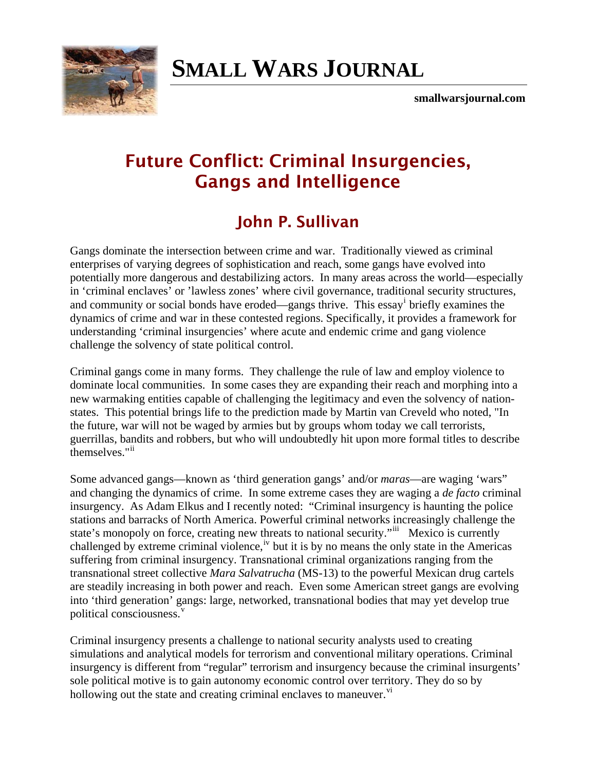**[SMALL WARS JOURNAL](http://smallwarsjournal.com/)**



**smallwarsjournal.com**

# **Future Conflict: Criminal Insurgencies, Gangs and Intelligence**

# **John P. Sullivan**

Gangs dominate the intersection between crime and war. Traditionally viewed as criminal enterprises of varying degrees of sophistication and reach, some gangs have evolved into potentially more dangerous and destabilizing actors. In many areas across the world—especially in 'criminal enclaves' or 'lawless zones' where civil governance, traditional security structures, and commun[i](#page-11-0)ty or social bonds have eroded—gangs thrive. This essay<sup>i</sup> briefly examines the dynamics of crime and war in these contested regions. Specifically, it provides a framework for understanding 'criminal insurgencies' where acute and endemic crime and gang violence challenge the solvency of state political control.

Criminal gangs come in many forms. They challenge the rule of law and employ violence to dominate local communities. In some cases they are expanding their reach and morphing into a new warmaking entities capable of challenging the legitimacy and even the solvency of nationstates. This potential brings life to the prediction made by Martin van Creveld who noted, "In the future, war will not be waged by armies but by groups whom today we call terrorists, guerrillas, bandits and robbers, but who will undoubtedly hit upon more formal titles to describe themselves."[ii](#page-11-1)

Some advanced gangs—known as 'third generation gangs' and/or *maras*—are waging 'wars" and changing the dynamics of crime. In some extreme cases they are waging a *de facto* criminal insurgency. As Adam Elkus and I recently noted: "Criminal insurgency is haunting the police stations and barracks of North America. Powerful criminal networks increasingly challenge the state's monopoly on force, creating new threats to national security."<sup>[iii](#page-11-1)</sup> Mexico is currently challenged by extreme criminal violence,<sup>[iv](#page-11-1)</sup> but it is by no means the only state in the Americas suffering from criminal insurgency. Transnational criminal organizations ranging from the transnational street collective *Mara Salvatrucha* (MS-13) to the powerful Mexican drug cartels are steadily increasing in both power and reach. Even some American street gangs are evolving into 'third generation' gangs: large, networked, transnational bodies that may yet develop true political consciousness.<sup>[v](#page-11-1)</sup>

Criminal insurgency presents a challenge to national security analysts used to creating simulations and analytical models for terrorism and conventional military operations. Criminal insurgency is different from "regular" terrorism and insurgency because the criminal insurgents' sole political motive is to gain autonomy economic control over territory. They do so by hollowing out the state and creating criminal enclaves to maneuver.<sup>[vi](#page-11-1)</sup>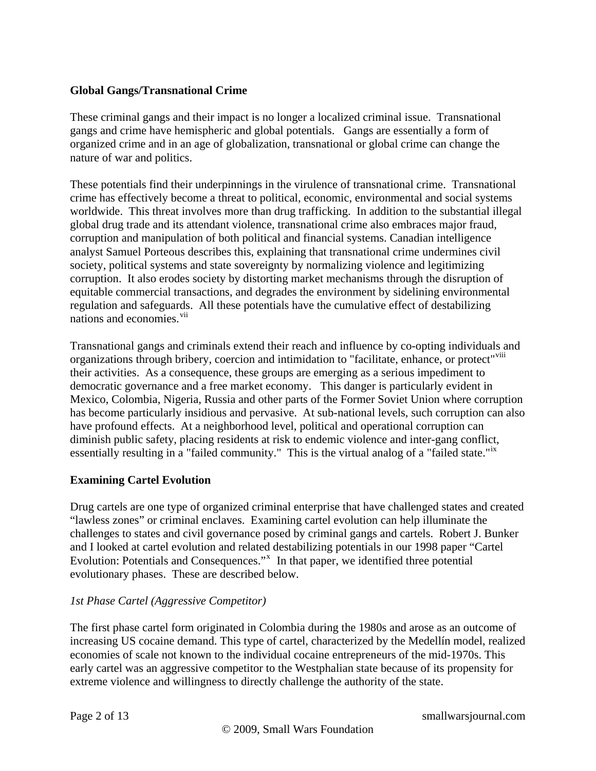#### **Global Gangs/Transnational Crime**

These criminal gangs and their impact is no longer a localized criminal issue. Transnational gangs and crime have hemispheric and global potentials. Gangs are essentially a form of organized crime and in an age of globalization, transnational or global crime can change the nature of war and politics.

These potentials find their underpinnings in the virulence of transnational crime. Transnational crime has effectively become a threat to political, economic, environmental and social systems worldwide. This threat involves more than drug trafficking. In addition to the substantial illegal global drug trade and its attendant violence, transnational crime also embraces major fraud, corruption and manipulation of both political and financial systems. Canadian intelligence analyst Samuel Porteous describes this, explaining that transnational crime undermines civil society, political systems and state sovereignty by normalizing violence and legitimizing corruption. It also erodes society by distorting market mechanisms through the disruption of equitable commercial transactions, and degrades the environment by sidelining environmental regulation and safeguards. All these potentials have the cumulative effect of destabilizing nations and economies.<sup>[vii](#page-11-1)</sup>

Transnational gangs and criminals extend their reach and influence by co-opting individuals and organizations through bribery, coercion and intimidation to "facilitate, enhance, or protect"[viii](#page-11-1) their activities. As a consequence, these groups are emerging as a serious impediment to democratic governance and a free market economy. This danger is particularly evident in Mexico, Colombia, Nigeria, Russia and other parts of the Former Soviet Union where corruption has become particularly insidious and pervasive. At sub-national levels, such corruption can also have profound effects. At a neighborhood level, political and operational corruption can diminish public safety, placing residents at risk to endemic violence and inter-gang conflict, essentially resulting in a "failed community." This is the virtual analog of a "failed state."<sup>[ix](#page-11-1)</sup>

## **Examining Cartel Evolution**

Drug cartels are one type of organized criminal enterprise that have challenged states and created "lawless zones" or criminal enclaves. Examining cartel evolution can help illuminate the challenges to states and civil governance posed by criminal gangs and cartels. Robert J. Bunker and I looked at cartel evolution and related destabilizing potentials in our 1998 paper "Cartel Evolution: Potentials and Consequences."<sup>[x](#page-11-1)</sup> In that paper, we identified three potential evolutionary phases. These are described below.

#### *1st Phase Cartel (Aggressive Competitor)*

The first phase cartel form originated in Colombia during the 1980s and arose as an outcome of increasing US cocaine demand. This type of cartel, characterized by the Medellín model, realized economies of scale not known to the individual cocaine entrepreneurs of the mid-1970s. This early cartel was an aggressive competitor to the Westphalian state because of its propensity for extreme violence and willingness to directly challenge the authority of the state.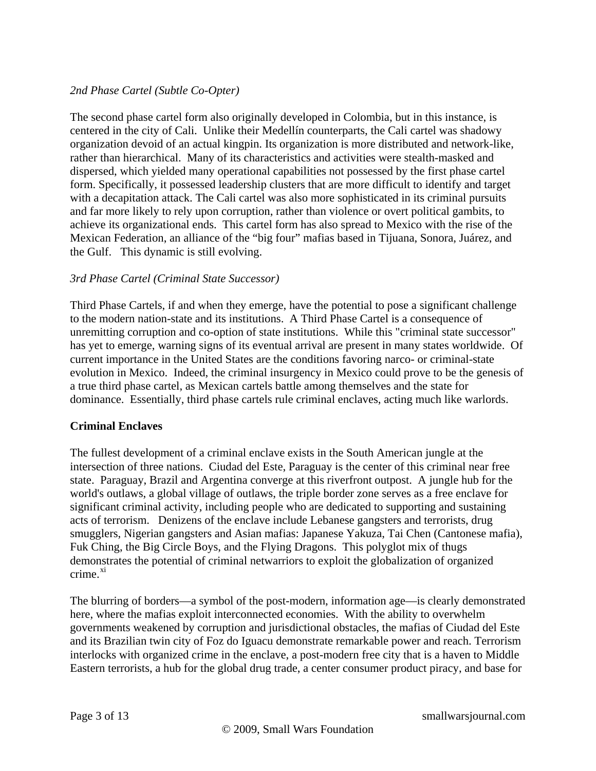#### *2nd Phase Cartel (Subtle Co-Opter)*

The second phase cartel form also originally developed in Colombia, but in this instance, is centered in the city of Cali. Unlike their Medellín counterparts, the Cali cartel was shadowy organization devoid of an actual kingpin. Its organization is more distributed and network-like, rather than hierarchical. Many of its characteristics and activities were stealth-masked and dispersed, which yielded many operational capabilities not possessed by the first phase cartel form. Specifically, it possessed leadership clusters that are more difficult to identify and target with a decapitation attack. The Cali cartel was also more sophisticated in its criminal pursuits and far more likely to rely upon corruption, rather than violence or overt political gambits, to achieve its organizational ends. This cartel form has also spread to Mexico with the rise of the Mexican Federation, an alliance of the "big four" mafias based in Tijuana, Sonora, Juárez, and the Gulf. This dynamic is still evolving.

#### *3rd Phase Cartel (Criminal State Successor)*

Third Phase Cartels, if and when they emerge, have the potential to pose a significant challenge to the modern nation-state and its institutions. A Third Phase Cartel is a consequence of unremitting corruption and co-option of state institutions. While this "criminal state successor" has yet to emerge, warning signs of its eventual arrival are present in many states worldwide. Of current importance in the United States are the conditions favoring narco- or criminal-state evolution in Mexico. Indeed, the criminal insurgency in Mexico could prove to be the genesis of a true third phase cartel, as Mexican cartels battle among themselves and the state for dominance. Essentially, third phase cartels rule criminal enclaves, acting much like warlords.

#### **Criminal Enclaves**

The fullest development of a criminal enclave exists in the South American jungle at the intersection of three nations. Ciudad del Este, Paraguay is the center of this criminal near free state. Paraguay, Brazil and Argentina converge at this riverfront outpost. A jungle hub for the world's outlaws, a global village of outlaws, the triple border zone serves as a free enclave for significant criminal activity, including people who are dedicated to supporting and sustaining acts of terrorism. Denizens of the enclave include Lebanese gangsters and terrorists, drug smugglers, Nigerian gangsters and Asian mafias: Japanese Yakuza, Tai Chen (Cantonese mafia), Fuk Ching, the Big Circle Boys, and the Flying Dragons. This polyglot mix of thugs demonstrates the potential of criminal netwarriors to exploit the globalization of organized crime.<sup>[xi](#page-11-1)</sup>

The blurring of borders—a symbol of the post-modern, information age—is clearly demonstrated here, where the mafias exploit interconnected economies. With the ability to overwhelm governments weakened by corruption and jurisdictional obstacles, the mafias of Ciudad del Este and its Brazilian twin city of Foz do Iguacu demonstrate remarkable power and reach. Terrorism interlocks with organized crime in the enclave, a post-modern free city that is a haven to Middle Eastern terrorists, a hub for the global drug trade, a center consumer product piracy, and base for

Page 3 of 13 smallwarsjournal.com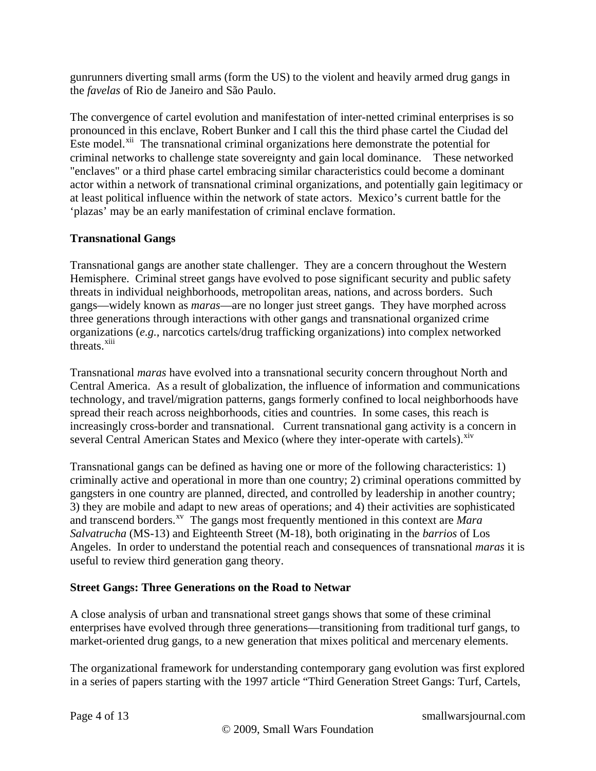gunrunners diverting small arms (form the US) to the violent and heavily armed drug gangs in the *favelas* of Rio de Janeiro and São Paulo.

The convergence of cartel evolution and manifestation of inter-netted criminal enterprises is so pronounced in this enclave, Robert Bunker and I call this the third phase cartel the Ciudad del Este model.<sup>[xii](#page-11-1)</sup> The transnational criminal organizations here demonstrate the potential for criminal networks to challenge state sovereignty and gain local dominance. These networked "enclaves" or a third phase cartel embracing similar characteristics could become a dominant actor within a network of transnational criminal organizations, and potentially gain legitimacy or at least political influence within the network of state actors. Mexico's current battle for the 'plazas' may be an early manifestation of criminal enclave formation.

## **Transnational Gangs**

Transnational gangs are another state challenger. They are a concern throughout the Western Hemisphere. Criminal street gangs have evolved to pose significant security and public safety threats in individual neighborhoods, metropolitan areas, nations, and across borders. Such gangs—widely known as *maras*—are no longer just street gangs. They have morphed across three generations through interactions with other gangs and transnational organized crime organizations (*e.g.,* narcotics cartels/drug trafficking organizations) into complex networked threats.<sup>[xiii](#page-11-1)</sup>

Transnational *maras* have evolved into a transnational security concern throughout North and Central America. As a result of globalization, the influence of information and communications technology, and travel/migration patterns, gangs formerly confined to local neighborhoods have spread their reach across neighborhoods, cities and countries. In some cases, this reach is increasingly cross-border and transnational. Current transnational gang activity is a concern in several Central American States and Mexico (where they inter-operate with cartels).<sup>[xiv](#page-11-1)</sup>

Transnational gangs can be defined as having one or more of the following characteristics: 1) criminally active and operational in more than one country; 2) criminal operations committed by gangsters in one country are planned, directed, and controlled by leadership in another country; 3) they are mobile and adapt to new areas of operations; and 4) their activities are sophisticated and transcend borders.<sup>[xv](#page-12-0)</sup> The gangs most frequently mentioned in this context are *Mara Salvatrucha* (MS-13) and Eighteenth Street (M-18), both originating in the *barrios* of Los Angeles. In order to understand the potential reach and consequences of transnational *maras* it is useful to review third generation gang theory.

## **Street Gangs: Three Generations on the Road to Netwar**

A close analysis of urban and transnational street gangs shows that some of these criminal enterprises have evolved through three generations—transitioning from traditional turf gangs, to market-oriented drug gangs, to a new generation that mixes political and mercenary elements.

The organizational framework for understanding contemporary gang evolution was first explored in a series of papers starting with the 1997 article "Third Generation Street Gangs: Turf, Cartels,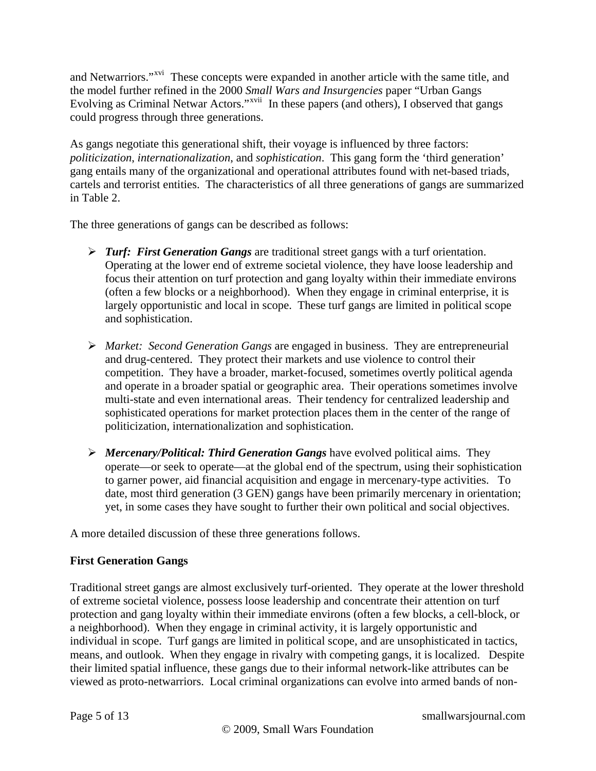and Netwarriors."<sup>[xvi](#page-12-0)</sup> These concepts were expanded in another article with the same title, and the model further refined in the 2000 *Small Wars and Insurgencies* paper "Urban Gangs Evolving as Criminal Netwar Actors."<sup>[xvii](#page-12-0)</sup> In these papers (and others), I observed that gangs could progress through three generations.

As gangs negotiate this generational shift, their voyage is influenced by three factors: *politicization*, *internationalization*, and *sophistication*. This gang form the 'third generation' gang entails many of the organizational and operational attributes found with net-based triads, cartels and terrorist entities. The characteristics of all three generations of gangs are summarized in Table 2.

The three generations of gangs can be described as follows:

- ¾ *Turf: First Generation Gangs* are traditional street gangs with a turf orientation. Operating at the lower end of extreme societal violence, they have loose leadership and focus their attention on turf protection and gang loyalty within their immediate environs (often a few blocks or a neighborhood). When they engage in criminal enterprise, it is largely opportunistic and local in scope. These turf gangs are limited in political scope and sophistication.
- ¾ *Market: Second Generation Gangs* are engaged in business. They are entrepreneurial and drug-centered. They protect their markets and use violence to control their competition. They have a broader, market-focused, sometimes overtly political agenda and operate in a broader spatial or geographic area. Their operations sometimes involve multi-state and even international areas. Their tendency for centralized leadership and sophisticated operations for market protection places them in the center of the range of politicization, internationalization and sophistication.
- ¾ *Mercenary/Political: Third Generation Gangs* have evolved political aims. They operate—or seek to operate—at the global end of the spectrum, using their sophistication to garner power, aid financial acquisition and engage in mercenary-type activities. To date, most third generation (3 GEN) gangs have been primarily mercenary in orientation; yet, in some cases they have sought to further their own political and social objectives.

A more detailed discussion of these three generations follows.

## **First Generation Gangs**

Traditional street gangs are almost exclusively turf-oriented. They operate at the lower threshold of extreme societal violence, possess loose leadership and concentrate their attention on turf protection and gang loyalty within their immediate environs (often a few blocks, a cell-block, or a neighborhood). When they engage in criminal activity, it is largely opportunistic and individual in scope. Turf gangs are limited in political scope, and are unsophisticated in tactics, means, and outlook. When they engage in rivalry with competing gangs, it is localized. Despite their limited spatial influence, these gangs due to their informal network-like attributes can be viewed as proto-netwarriors. Local criminal organizations can evolve into armed bands of non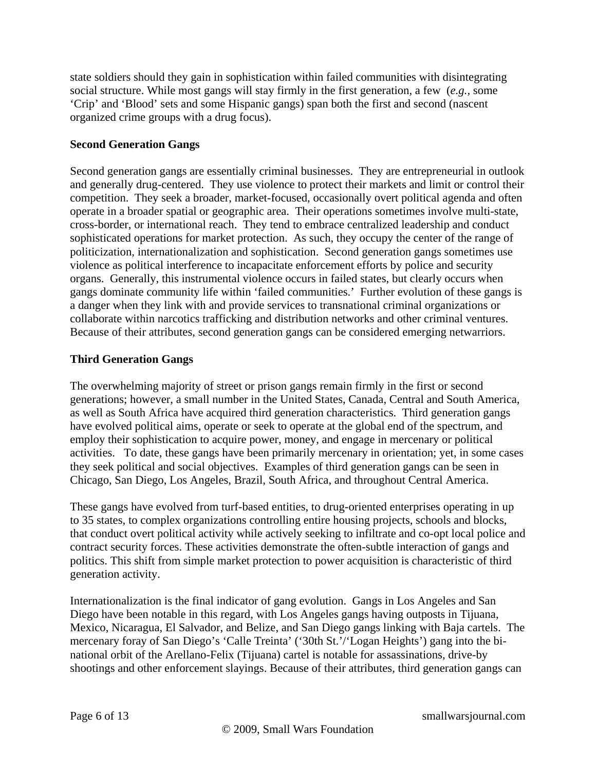state soldiers should they gain in sophistication within failed communities with disintegrating social structure. While most gangs will stay firmly in the first generation, a few (*e.g.,* some 'Crip' and 'Blood' sets and some Hispanic gangs) span both the first and second (nascent organized crime groups with a drug focus).

#### **Second Generation Gangs**

Second generation gangs are essentially criminal businesses. They are entrepreneurial in outlook and generally drug-centered. They use violence to protect their markets and limit or control their competition. They seek a broader, market-focused, occasionally overt political agenda and often operate in a broader spatial or geographic area. Their operations sometimes involve multi-state, cross-border, or international reach. They tend to embrace centralized leadership and conduct sophisticated operations for market protection. As such, they occupy the center of the range of politicization, internationalization and sophistication. Second generation gangs sometimes use violence as political interference to incapacitate enforcement efforts by police and security organs. Generally, this instrumental violence occurs in failed states, but clearly occurs when gangs dominate community life within 'failed communities.' Further evolution of these gangs is a danger when they link with and provide services to transnational criminal organizations or collaborate within narcotics trafficking and distribution networks and other criminal ventures. Because of their attributes, second generation gangs can be considered emerging netwarriors.

## **Third Generation Gangs**

The overwhelming majority of street or prison gangs remain firmly in the first or second generations; however, a small number in the United States, Canada, Central and South America, as well as South Africa have acquired third generation characteristics. Third generation gangs have evolved political aims, operate or seek to operate at the global end of the spectrum, and employ their sophistication to acquire power, money, and engage in mercenary or political activities. To date, these gangs have been primarily mercenary in orientation; yet, in some cases they seek political and social objectives. Examples of third generation gangs can be seen in Chicago, San Diego, Los Angeles, Brazil, South Africa, and throughout Central America.

These gangs have evolved from turf-based entities, to drug-oriented enterprises operating in up to 35 states, to complex organizations controlling entire housing projects, schools and blocks, that conduct overt political activity while actively seeking to infiltrate and co-opt local police and contract security forces. These activities demonstrate the often-subtle interaction of gangs and politics. This shift from simple market protection to power acquisition is characteristic of third generation activity.

Internationalization is the final indicator of gang evolution. Gangs in Los Angeles and San Diego have been notable in this regard, with Los Angeles gangs having outposts in Tijuana, Mexico, Nicaragua, El Salvador, and Belize, and San Diego gangs linking with Baja cartels. The mercenary foray of San Diego's 'Calle Treinta' ('30th St.'/'Logan Heights') gang into the binational orbit of the Arellano-Felix (Tijuana) cartel is notable for assassinations, drive-by shootings and other enforcement slayings. Because of their attributes, third generation gangs can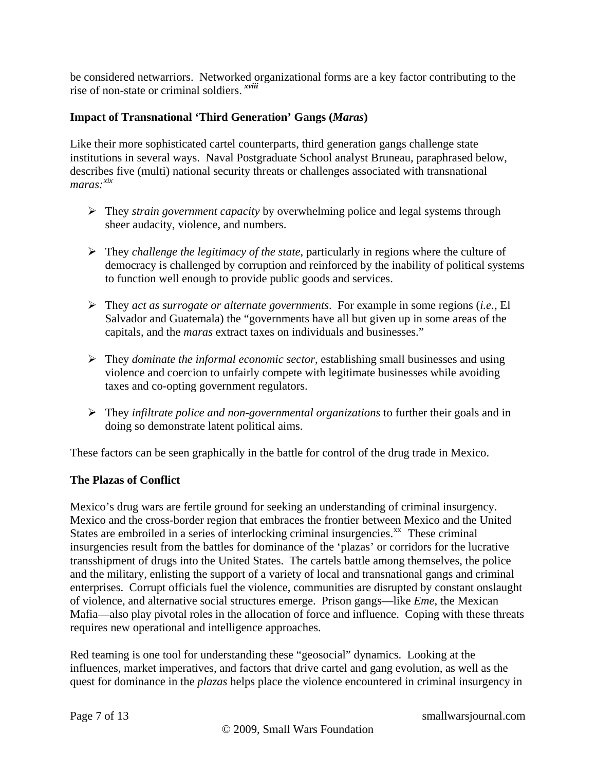be considered netwarriors. Networked organizational forms are a key factor contributing to the rise of non-state or criminal soldiers. *[xviii](#page-12-0)*

## **Impact of Transnational 'Third Generation' Gangs (***Maras***)**

Like their more sophisticated cartel counterparts, third generation gangs challenge state institutions in several ways. Naval Postgraduate School analyst Bruneau, paraphrased below, describes five (multi) national security threats or challenges associated with transnational *maras: [xix](#page-12-0)*

- ¾ They *strain government capacity* by overwhelming police and legal systems through sheer audacity, violence, and numbers.
- ¾ They *challenge the legitimacy of the state*, particularly in regions where the culture of democracy is challenged by corruption and reinforced by the inability of political systems to function well enough to provide public goods and services.
- ¾ They *act as surrogate or alternate governments*. For example in some regions (*i.e.,* El Salvador and Guatemala) the "governments have all but given up in some areas of the capitals, and the *maras* extract taxes on individuals and businesses."
- ¾ They *dominate the informal economic sector*, establishing small businesses and using violence and coercion to unfairly compete with legitimate businesses while avoiding taxes and co-opting government regulators.
- ¾ They *infiltrate police and non-governmental organizations* to further their goals and in doing so demonstrate latent political aims.

These factors can be seen graphically in the battle for control of the drug trade in Mexico.

## **The Plazas of Conflict**

Mexico's drug wars are fertile ground for seeking an understanding of criminal insurgency. Mexico and the cross-border region that embraces the frontier between Mexico and the United States are embroiled in a series of interlocking criminal insurgencies. $^{xx}$  $^{xx}$  $^{xx}$  These criminal insurgencies result from the battles for dominance of the 'plazas' or corridors for the lucrative transshipment of drugs into the United States. The cartels battle among themselves, the police and the military, enlisting the support of a variety of local and transnational gangs and criminal enterprises. Corrupt officials fuel the violence, communities are disrupted by constant onslaught of violence, and alternative social structures emerge. Prison gangs—like *Eme*, the Mexican Mafia—also play pivotal roles in the allocation of force and influence. Coping with these threats requires new operational and intelligence approaches.

Red teaming is one tool for understanding these "geosocial" dynamics. Looking at the influences, market imperatives, and factors that drive cartel and gang evolution, as well as the quest for dominance in the *plazas* helps place the violence encountered in criminal insurgency in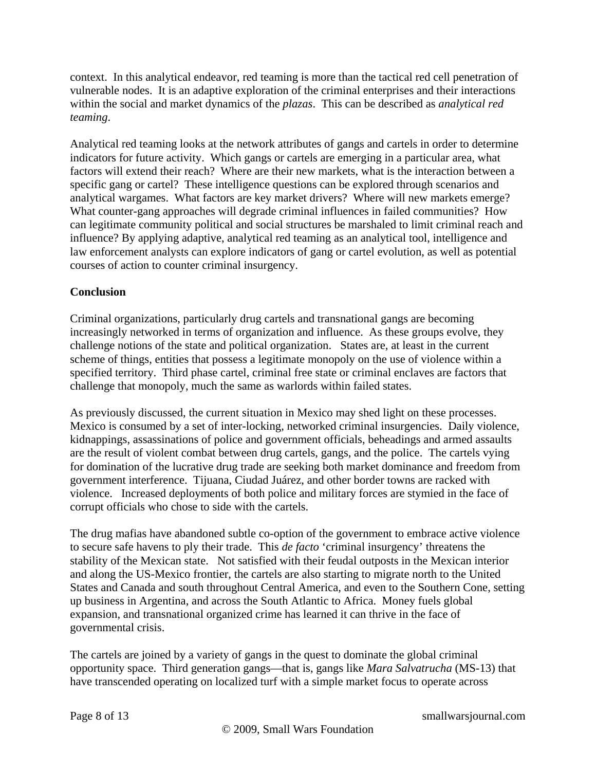context. In this analytical endeavor, red teaming is more than the tactical red cell penetration of vulnerable nodes. It is an adaptive exploration of the criminal enterprises and their interactions within the social and market dynamics of the *plazas*. This can be described as *analytical red teaming*.

Analytical red teaming looks at the network attributes of gangs and cartels in order to determine indicators for future activity. Which gangs or cartels are emerging in a particular area, what factors will extend their reach? Where are their new markets, what is the interaction between a specific gang or cartel? These intelligence questions can be explored through scenarios and analytical wargames. What factors are key market drivers? Where will new markets emerge? What counter-gang approaches will degrade criminal influences in failed communities? How can legitimate community political and social structures be marshaled to limit criminal reach and influence? By applying adaptive, analytical red teaming as an analytical tool, intelligence and law enforcement analysts can explore indicators of gang or cartel evolution, as well as potential courses of action to counter criminal insurgency.

#### **Conclusion**

Criminal organizations, particularly drug cartels and transnational gangs are becoming increasingly networked in terms of organization and influence. As these groups evolve, they challenge notions of the state and political organization. States are, at least in the current scheme of things, entities that possess a legitimate monopoly on the use of violence within a specified territory. Third phase cartel, criminal free state or criminal enclaves are factors that challenge that monopoly, much the same as warlords within failed states.

As previously discussed, the current situation in Mexico may shed light on these processes. Mexico is consumed by a set of inter-locking, networked criminal insurgencies. Daily violence, kidnappings, assassinations of police and government officials, beheadings and armed assaults are the result of violent combat between drug cartels, gangs, and the police. The cartels vying for domination of the lucrative drug trade are seeking both market dominance and freedom from government interference. Tijuana, Ciudad Juárez, and other border towns are racked with violence. Increased deployments of both police and military forces are stymied in the face of corrupt officials who chose to side with the cartels.

The drug mafias have abandoned subtle co-option of the government to embrace active violence to secure safe havens to ply their trade. This *de facto* 'criminal insurgency' threatens the stability of the Mexican state. Not satisfied with their feudal outposts in the Mexican interior and along the US-Mexico frontier, the cartels are also starting to migrate north to the United States and Canada and south throughout Central America, and even to the Southern Cone, setting up business in Argentina, and across the South Atlantic to Africa. Money fuels global expansion, and transnational organized crime has learned it can thrive in the face of governmental crisis.

The cartels are joined by a variety of gangs in the quest to dominate the global criminal opportunity space. Third generation gangs—that is, gangs like *Mara Salvatrucha* (MS-13) that have transcended operating on localized turf with a simple market focus to operate across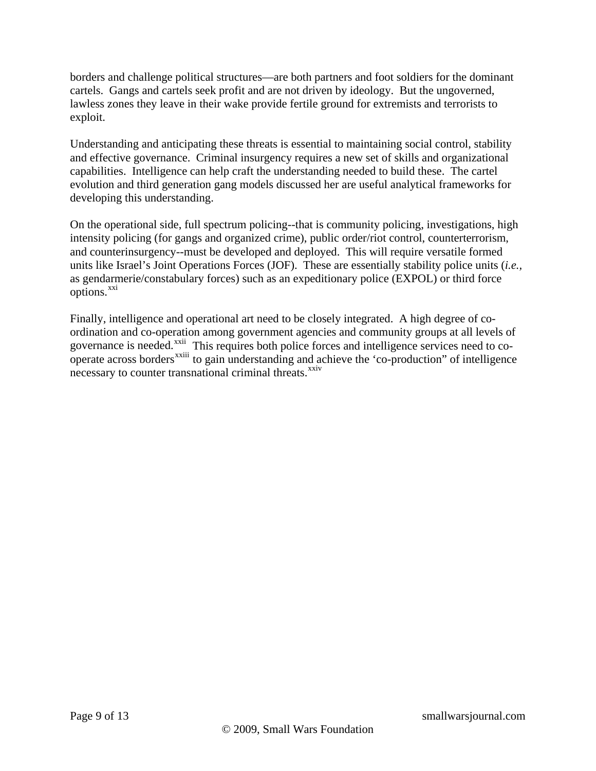borders and challenge political structures—are both partners and foot soldiers for the dominant cartels. Gangs and cartels seek profit and are not driven by ideology. But the ungoverned, lawless zones they leave in their wake provide fertile ground for extremists and terrorists to exploit.

Understanding and anticipating these threats is essential to maintaining social control, stability and effective governance. Criminal insurgency requires a new set of skills and organizational capabilities. Intelligence can help craft the understanding needed to build these. The cartel evolution and third generation gang models discussed her are useful analytical frameworks for developing this understanding.

On the operational side, full spectrum policing--that is community policing, investigations, high intensity policing (for gangs and organized crime), public order/riot control, counterterrorism, and counterinsurgency--must be developed and deployed. This will require versatile formed units like Israel's Joint Operations Forces (JOF). These are essentially stability police units (*i.e.,* as gendarmerie/constabulary forces) such as an expeditionary police (EXPOL) or third force options.<sup>[xxi](#page-12-0)</sup>

Finally, intelligence and operational art need to be closely integrated. A high degree of coordination and co-operation among government agencies and community groups at all levels of governance is needed.<sup>[xxii](#page-12-0)</sup> This requires both police forces and intelligence services need to cooperate across borders<sup>[xxiii](#page-12-0)</sup> to gain understanding and achieve the 'co-production' of intelligence necessary to counter transnational criminal threats.<sup>[xxiv](#page-12-0)</sup>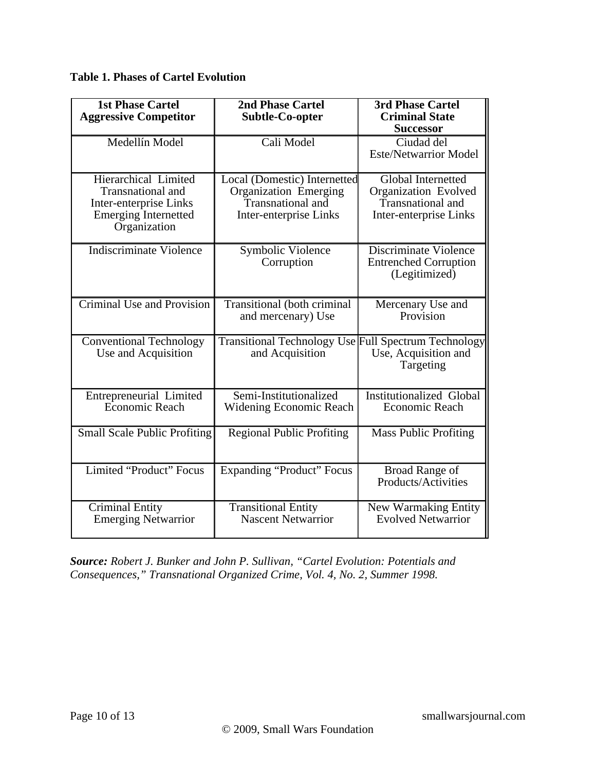| <b>1st Phase Cartel</b><br><b>Aggressive Competitor</b>                                                                   | <b>2nd Phase Cartel</b><br><b>Subtle-Co-opter</b>                                                           | 3rd Phase Cartel<br><b>Criminal State</b><br><b>Successor</b>                             |
|---------------------------------------------------------------------------------------------------------------------------|-------------------------------------------------------------------------------------------------------------|-------------------------------------------------------------------------------------------|
| Medellín Model                                                                                                            | Cali Model                                                                                                  | Ciudad del<br><b>Este/Netwarrior Model</b>                                                |
| Hierarchical Limited<br><b>Transnational and</b><br>Inter-enterprise Links<br><b>Emerging Internetted</b><br>Organization | Local (Domestic) Internetted<br><b>Organization Emerging</b><br>Transnational and<br>Inter-enterprise Links | Global Internetted<br>Organization Evolved<br>Transnational and<br>Inter-enterprise Links |
| <b>Indiscriminate Violence</b>                                                                                            | Symbolic Violence<br>Corruption                                                                             | Discriminate Violence<br><b>Entrenched Corruption</b><br>(Legitimized)                    |
| Criminal Use and Provision                                                                                                | Transitional (both criminal<br>and mercenary) Use                                                           | Mercenary Use and<br>Provision                                                            |
| <b>Conventional Technology</b><br>Use and Acquisition                                                                     | Transitional Technology Use Full Spectrum Technology<br>and Acquisition                                     | Use, Acquisition and<br>Targeting                                                         |
| Entrepreneurial Limited<br>Economic Reach                                                                                 | Semi-Institutionalized<br>Widening Economic Reach                                                           | <b>Institutionalized Global</b><br><b>Economic Reach</b>                                  |
| <b>Small Scale Public Profiting</b>                                                                                       | <b>Regional Public Profiting</b>                                                                            | <b>Mass Public Profiting</b>                                                              |
| Limited "Product" Focus                                                                                                   | <b>Expanding "Product" Focus</b>                                                                            | <b>Broad Range of</b><br>Products/Activities                                              |
| <b>Criminal Entity</b><br><b>Emerging Netwarrior</b>                                                                      | <b>Transitional Entity</b><br><b>Nascent Netwarrior</b>                                                     | New Warmaking Entity<br><b>Evolved Netwarrior</b>                                         |

*Source: Robert J. Bunker and John P. Sullivan, "Cartel Evolution: Potentials and Consequences," Transnational Organized Crime, Vol. 4, No. 2, Summer 1998.*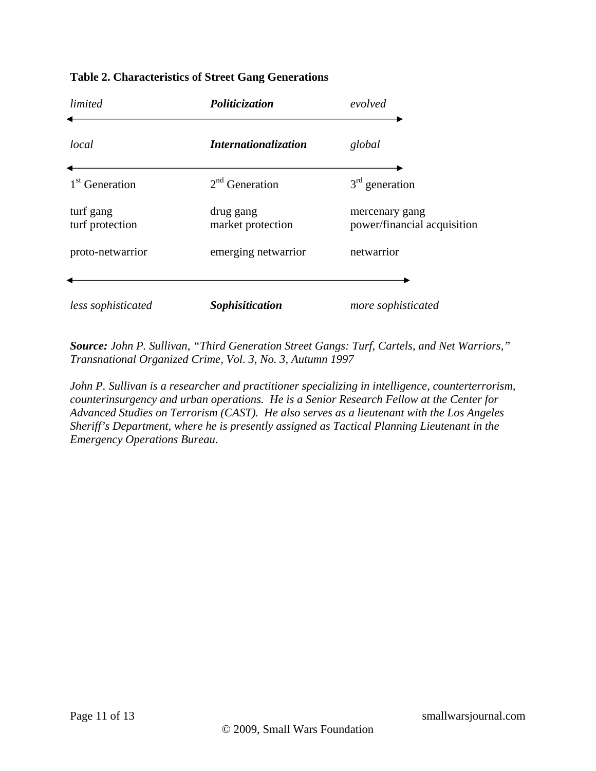# **Table 2. Characteristics of Street Gang Generations**

| limited                      | Politicization                 | evolved                                       |
|------------------------------|--------------------------------|-----------------------------------------------|
| local                        | <i>Internationalization</i>    | global                                        |
| 1 <sup>st</sup> Generation   | $2nd$ Generation               | $3rd$ generation                              |
| turf gang<br>turf protection | drug gang<br>market protection | mercenary gang<br>power/financial acquisition |
| proto-netwarrior             | emerging netwarrior            | netwarrior                                    |
|                              |                                |                                               |
| less sophisticated           | Sophisitication                | more sophisticated                            |

*Source: John P. Sullivan, "Third Generation Street Gangs: Turf, Cartels, and Net Warriors," Transnational Organized Crime, Vol. 3, No. 3, Autumn 1997* 

*John P. Sullivan is a researcher and practitioner specializing in intelligence, counterterrorism, counterinsurgency and urban operations. He is a Senior Research Fellow at the Center for Advanced Studies on Terrorism (CAST). He also serves as a lieutenant with the Los Angeles Sheriff's Department, where he is presently assigned as Tactical Planning Lieutenant in the Emergency Operations Bureau.*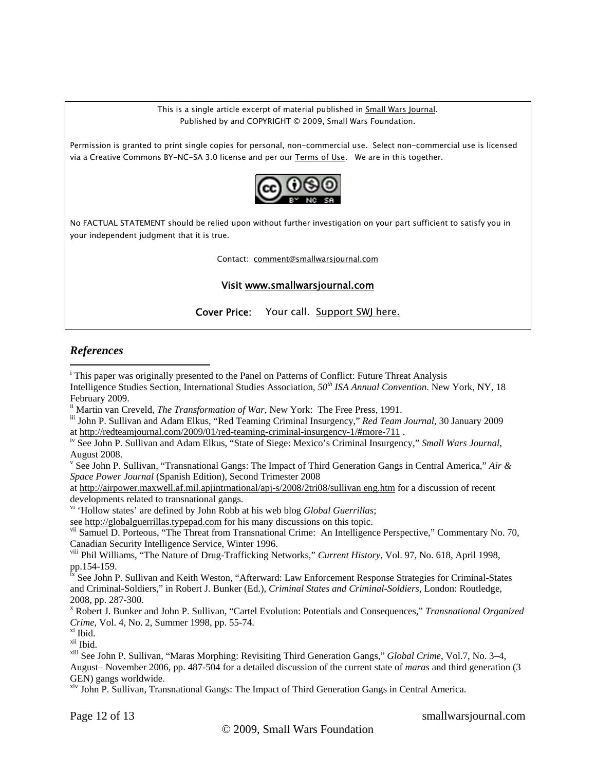This is a single article excerpt of material published in [Small Wars Journal](http://smallwarsjournal.com/). Published by and COPYRIGHT © 2009, Small Wars Foundation.

<span id="page-11-1"></span>Permission is granted to print single copies for personal, non-commercial use. Select non-commercial use is licensed via a Creative Commons BY-NC-SA 3.0 license and per our [Terms of Use.](http://smallwarsjournal.com/site/terms/) We are in this together.



No FACTUAL STATEMENT should be relied upon without further investigation on your part sufficient to satisfy you in your independent judgment that it is true.

Contact: [comment@smallwarsjournal.com](mailto:comment@smallwarsjournal.com)

#### Visit [www.smallwarsjournal.com](http://www.smallwarsjournal.com/)

Cover Price: Your call. [Support SWJ here.](http://smallwarsjournal.com/site/support/)

#### *References*

 $\overline{a}$ 

<span id="page-11-0"></span>Intelligence Studies Section, International Studies Association*, 50th ISA Annual Convention*. New York, NY, 18 February 2009.

August 2008.

v See John P. Sullivan, "Transnational Gangs: The Impact of Third Generation Gangs in Central America," *Air & Space Power Journal* (Spanish Edition), Second Trimester 2008

at [http://airpower.maxwell.af.mil.apjintrnational/apj-s/2008/2tri08/sullivan eng.htm](http://airpower.maxwell.af.mil.apjintrnational/apj-s/2008/2tri08/sullivan%20eng.htm) for a discussion of recent developments related to transnational gangs.

vi 'Hollow states' are defined by John Robb at his web blog *Global Guerrillas*;

see [http://globalguerrillas.typepad.com](http://globalguerrillas.typepad.com/) for his many discussions on this topic.

vii Samuel D. Porteous, "The Threat from Transnational Crime: An Intelligence Perspective," Commentary No. 70, Canadian Security Intelligence Service, Winter 1996.

viii Phil Williams, "The Nature of Drug-Trafficking Networks," *Current History*, Vol. 97, No. 618, April 1998, pp.154-159.

<sup>ix</sup> See John P. Sullivan and Keith Weston, "Afterward: Law Enforcement Response Strategies for Criminal-States and Criminal-Soldiers," in Robert J. Bunker (Ed.), *Criminal States and Criminal-Soldiers*, London: Routledge, 2008, pp. 287-300.

x Robert J. Bunker and John P. Sullivan, "Cartel Evolution: Potentials and Consequences," *Transnational Organized Crime*, Vol. 4, No. 2, Summer 1998, pp. 55-74.<br><sup>xi</sup> Ibid.

xii Ibid.

xiv John P. Sullivan, Transnational Gangs: The Impact of Third Generation Gangs in Central America.

<sup>&</sup>lt;sup>i</sup> This paper was originally presented to the Panel on Patterns of Conflict: Future Threat Analysis

<sup>&</sup>lt;sup>ii</sup> Martin van Creveld, *The Transformation of War*, New York: The Free Press, 1991.<br><sup>iii</sup> John P. Sullivan and Adam Elkus, "Red Teaming Criminal Insurgency," *Red Team Journal*, 30 January 2009 at <http://redteamjournal.com/2009/01/red-teaming-criminal-insurgency-1/#more-711> . iv See John P. Sullivan and Adam Elkus, "State of Siege: Mexico's Criminal Insurgency," *Small Wars Journal*,

xiii See John P. Sullivan, "Maras Morphing: Revisiting Third Generation Gangs," *Global Crime*, Vol.7, No. 3–4, August– November 2006, pp. 487-504 for a detailed discussion of the current state of *maras* and third generation (3 GEN) gangs worldwide.